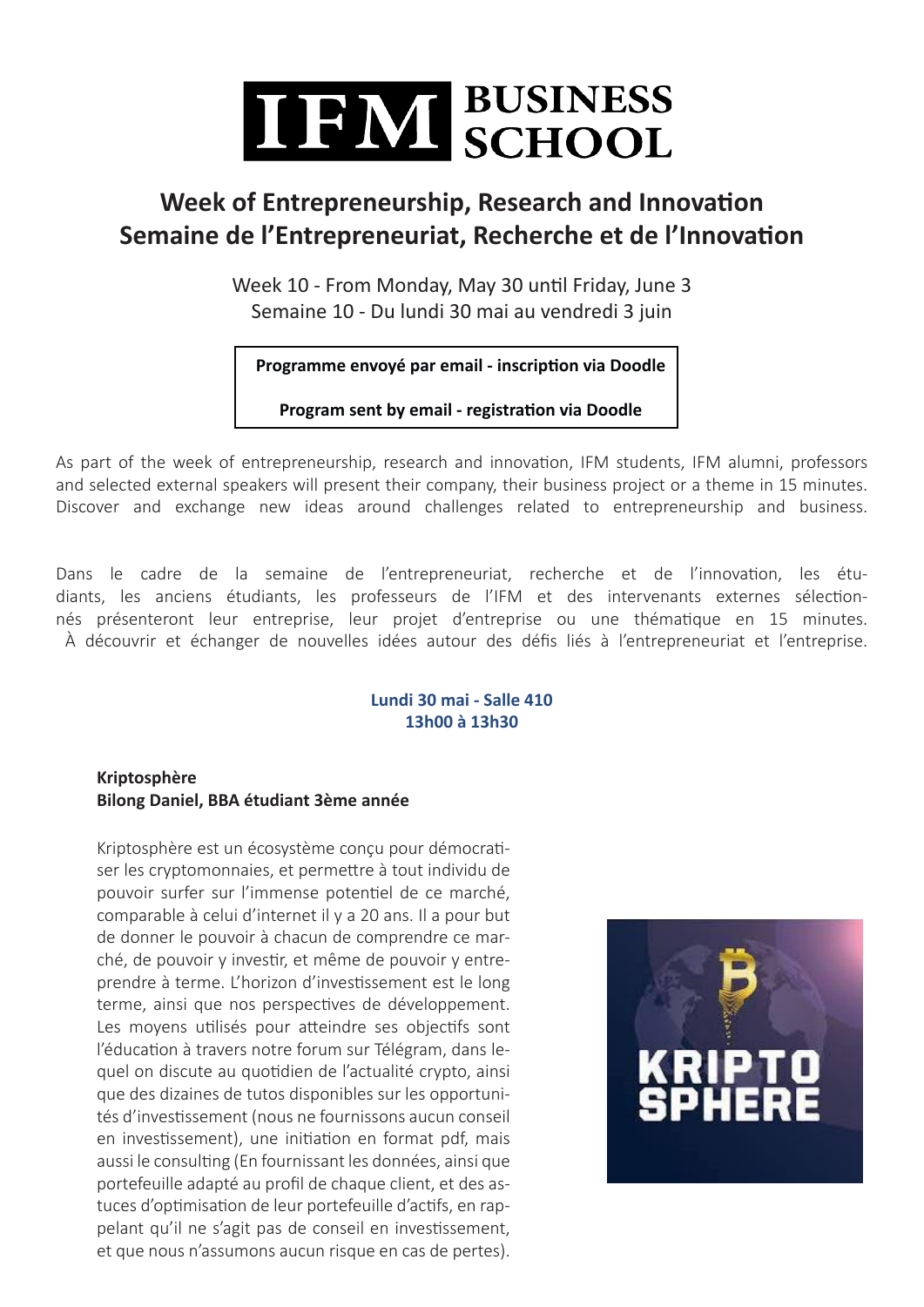

### **Week of Entrepreneurship, Research and Innovation Semaine de l'Entrepreneuriat, Recherche et de l'Innovation**

Week 10 - From Monday, May 30 until Friday, June 3 Semaine 10 - Du lundi 30 mai au vendredi 3 juin

**Programme envoyé par email - inscription via Doodle**

**Program sent by email - registration via Doodle**

As part of the week of entrepreneurship, research and innovation, IFM students, IFM alumni, professors and selected external speakers will present their company, their business project or a theme in 15 minutes. Discover and exchange new ideas around challenges related to entrepreneurship and business.

Dans le cadre de la semaine de l'entrepreneuriat, recherche et de l'innovation, les étudiants, les anciens étudiants, les professeurs de l'IFM et des intervenants externes sélectionnés présenteront leur entreprise, leur projet d'entreprise ou une thématique en 15 minutes. À découvrir et échanger de nouvelles idées autour des défis liés à l'entrepreneuriat et l'entreprise.

#### **Lundi 30 mai - Salle 410 13h00 à 13h30**

#### **Kriptosphère Bilong Daniel, BBA étudiant 3ème année**

Kriptosphère est un écosystème conçu pour démocratiser les cryptomonnaies, et permettre à tout individu de pouvoir surfer sur l'immense potentiel de ce marché, comparable à celui d'internet il y a 20 ans. Il a pour but de donner le pouvoir à chacun de comprendre ce marché, de pouvoir y investir, et même de pouvoir y entreprendre à terme. L'horizon d'investissement est le long terme, ainsi que nos perspectives de développement. Les moyens utilisés pour atteindre ses objectifs sont l'éducation à travers notre forum sur Télégram, dans lequel on discute au quotidien de l'actualité crypto, ainsi que des dizaines de tutos disponibles sur les opportunités d'investissement (nous ne fournissons aucun conseil en investissement), une initiation en format pdf, mais aussi le consulting (En fournissant les données, ainsi que portefeuille adapté au profil de chaque client, et des astuces d'optimisation de leur portefeuille d'actifs, en rappelant qu'il ne s'agit pas de conseil en investissement, et que nous n'assumons aucun risque en cas de pertes).

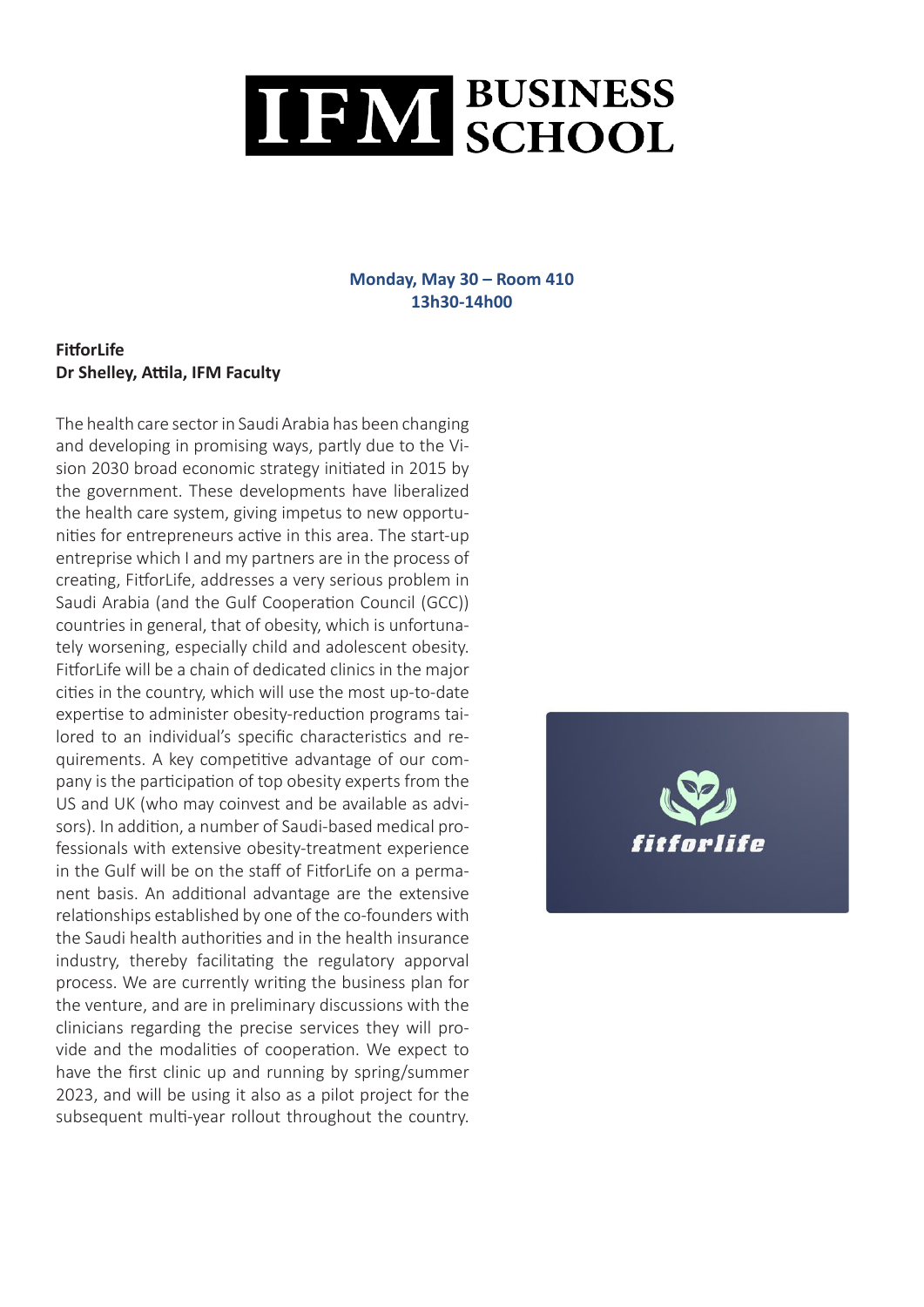## TEIW BUSINESS

#### **Monday, May 30 – Room 410 13h30-14h00**

#### **FitforLife Dr Shelley, Attila, IFM Faculty**

The health care sector in Saudi Arabia has been changing and developing in promising ways, partly due to the Vision 2030 broad economic strategy initiated in 2015 by the government. These developments have liberalized the health care system, giving impetus to new opportunities for entrepreneurs active in this area. The start-up entreprise which I and my partners are in the process of creating, FitforLife, addresses a very serious problem in Saudi Arabia (and the Gulf Cooperation Council (GCC)) countries in general, that of obesity, which is unfortunately worsening, especially child and adolescent obesity. FitforLife will be a chain of dedicated clinics in the major cities in the country, which will use the most up-to-date expertise to administer obesity-reduction programs tailored to an individual's specific characteristics and requirements. A key competitive advantage of our company is the participation of top obesity experts from the US and UK (who may coinvest and be available as advisors). In addition, a number of Saudi-based medical professionals with extensive obesity-treatment experience in the Gulf will be on the staff of FitforLife on a permanent basis. An additional advantage are the extensive relationships established by one of the co-founders with the Saudi health authorities and in the health insurance industry, thereby facilitating the regulatory apporval process. We are currently writing the business plan for the venture, and are in preliminary discussions with the clinicians regarding the precise services they will provide and the modalities of cooperation. We expect to have the first clinic up and running by spring/summer 2023, and will be using it also as a pilot project for the subsequent multi-year rollout throughout the country.

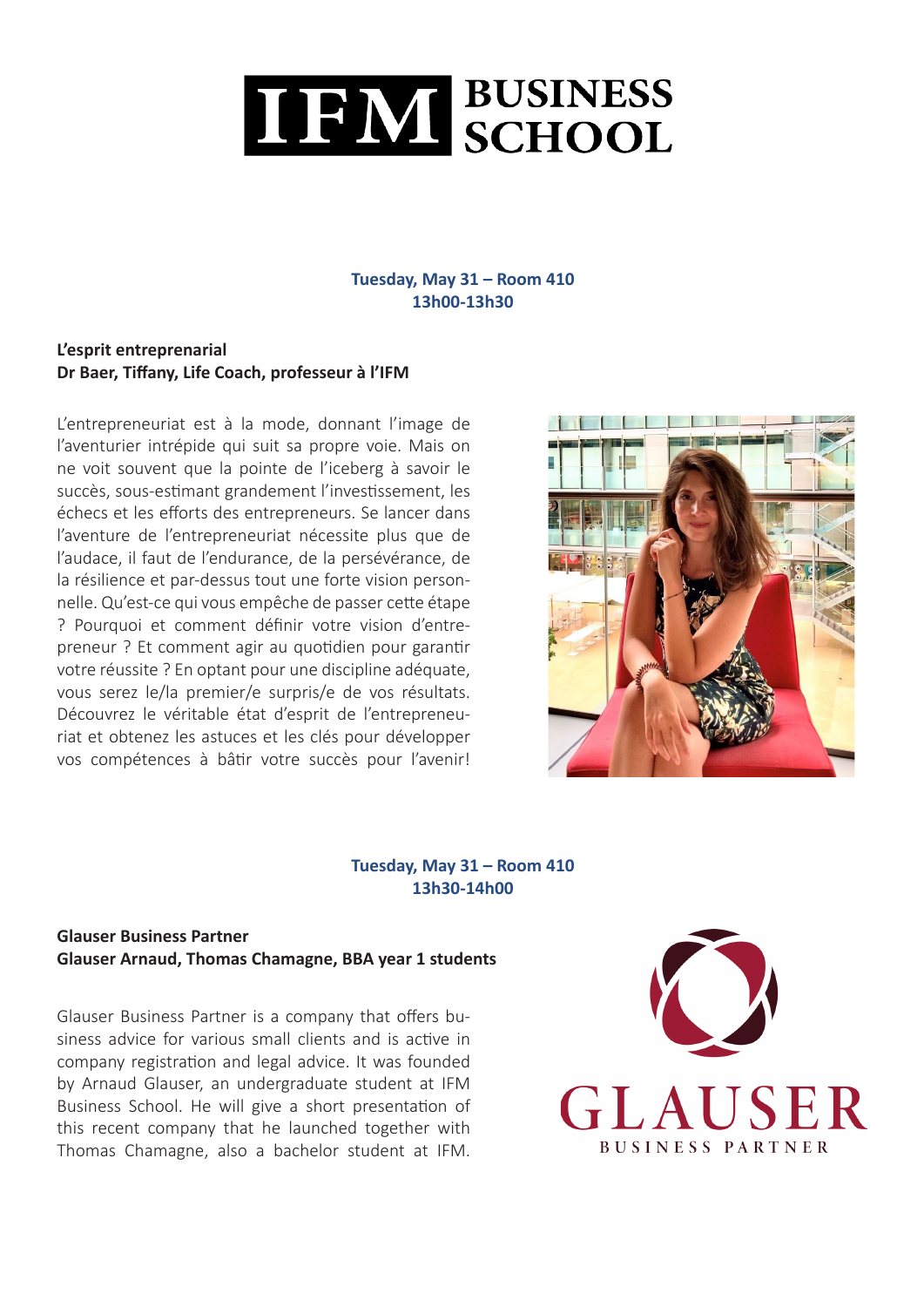

#### **Tuesday, May 31 – Room 410 13h00-13h30**

#### **L'esprit entreprenarial Dr Baer, Tiffany, Life Coach, professeur à l'IFM**

L'entrepreneuriat est à la mode, donnant l'image de l'aventurier intrépide qui suit sa propre voie. Mais on ne voit souvent que la pointe de l'iceberg à savoir le succès, sous-estimant grandement l'investissement, les échecs et les efforts des entrepreneurs. Se lancer dans l'aventure de l'entrepreneuriat nécessite plus que de l'audace, il faut de l'endurance, de la persévérance, de la résilience et par-dessus tout une forte vision personnelle. Qu'est-ce qui vous empêche de passer cette étape ? Pourquoi et comment définir votre vision d'entrepreneur ? Et comment agir au quotidien pour garantir votre réussite ? En optant pour une discipline adéquate, vous serez le/la premier/e surpris/e de vos résultats. Découvrez le véritable état d'esprit de l'entrepreneuriat et obtenez les astuces et les clés pour développer vos compétences à bâtir votre succès pour l'avenir!



#### **Tuesday, May 31 – Room 410 13h30-14h00**

#### **Glauser Business Partner Glauser Arnaud, Thomas Chamagne, BBA year 1 students**

Glauser Business Partner is a company that offers business advice for various small clients and is active in company registration and legal advice. It was founded by Arnaud Glauser, an undergraduate student at IFM Business School. He will give a short presentation of this recent company that he launched together with Thomas Chamagne, also a bachelor student at IFM.

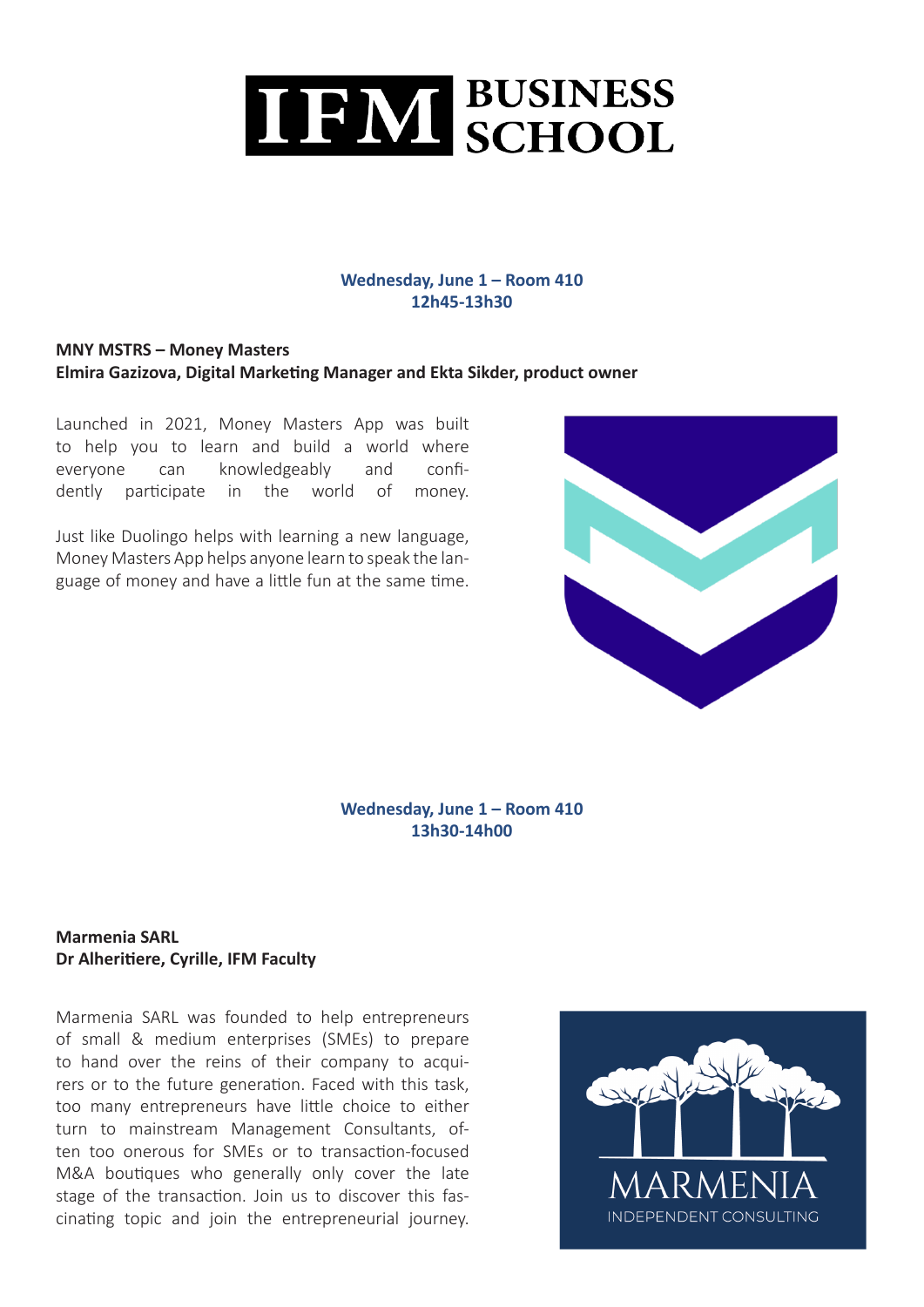

#### **Wednesday, June 1 – Room 410 12h45-13h30**

#### **MNY MSTRS – Money Masters Elmira Gazizova, Digital Marketing Manager and Ekta Sikder, product owner**

Launched in 2021, Money Masters App was built to help you to learn and build a world where everyone can knowledgeably and confidently participate in the world of money.

Just like Duolingo helps with learning a new language, Money Masters App helps anyone learn to speak the language of money and have a little fun at the same time.



#### **Wednesday, June 1 – Room 410 13h30-14h00**

#### **Marmenia SARL Dr Alheritiere, Cyrille, IFM Faculty**

Marmenia SARL was founded to help entrepreneurs of small & medium enterprises (SMEs) to prepare to hand over the reins of their company to acquirers or to the future generation. Faced with this task, too many entrepreneurs have little choice to either turn to mainstream Management Consultants, often too onerous for SMEs or to transaction-focused M&A boutiques who generally only cover the late stage of the transaction. Join us to discover this fascinating topic and join the entrepreneurial journey.

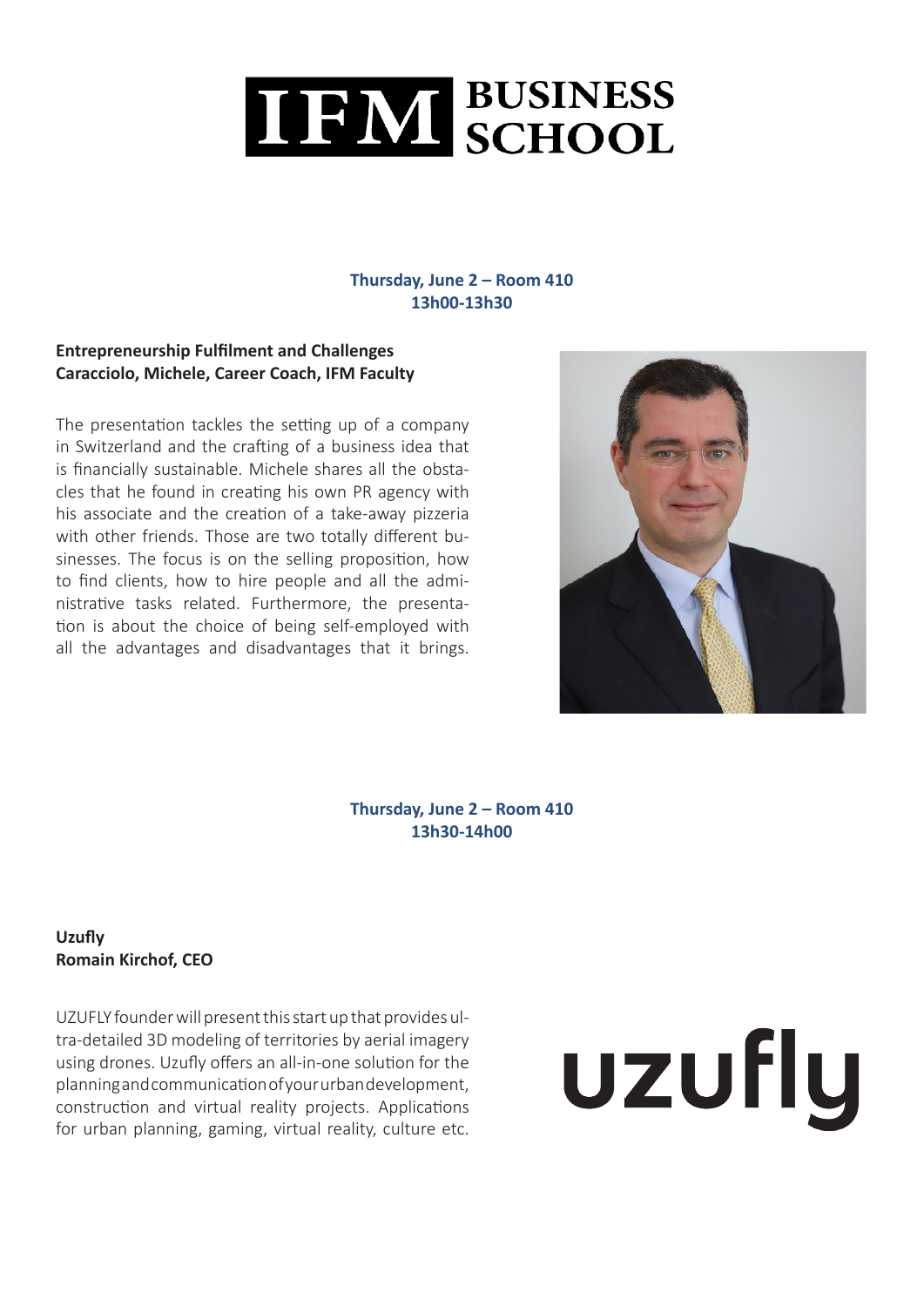

#### **Thursday, June 2 – Room 410 13h00-13h30**

#### **Entrepreneurship Fulfilment and Challenges Caracciolo, Michele, Career Coach, IFM Faculty**

The presentation tackles the setting up of a company in Switzerland and the crafting of a business idea that is financially sustainable. Michele shares all the obstacles that he found in creating his own PR agency with his associate and the creation of a take-away pizzeria with other friends. Those are two totally different businesses. The focus is on the selling proposition, how to find clients, how to hire people and all the administrative tasks related. Furthermore, the presentation is about the choice of being self-employed with all the advantages and disadvantages that it brings.



**Thursday, June 2 – Room 410 13h30-14h00**

#### **Uzufly Romain Kirchof, CEO**

UZUFLY founder will present this start up that provides ultra-detailed 3D modeling of territories by aerial imagery using drones. Uzufly offers an all-in-one solution for the planning and communication of your urban development, construction and virtual reality projects. Applications for urban planning, gaming, virtual reality, culture etc.

# uzufly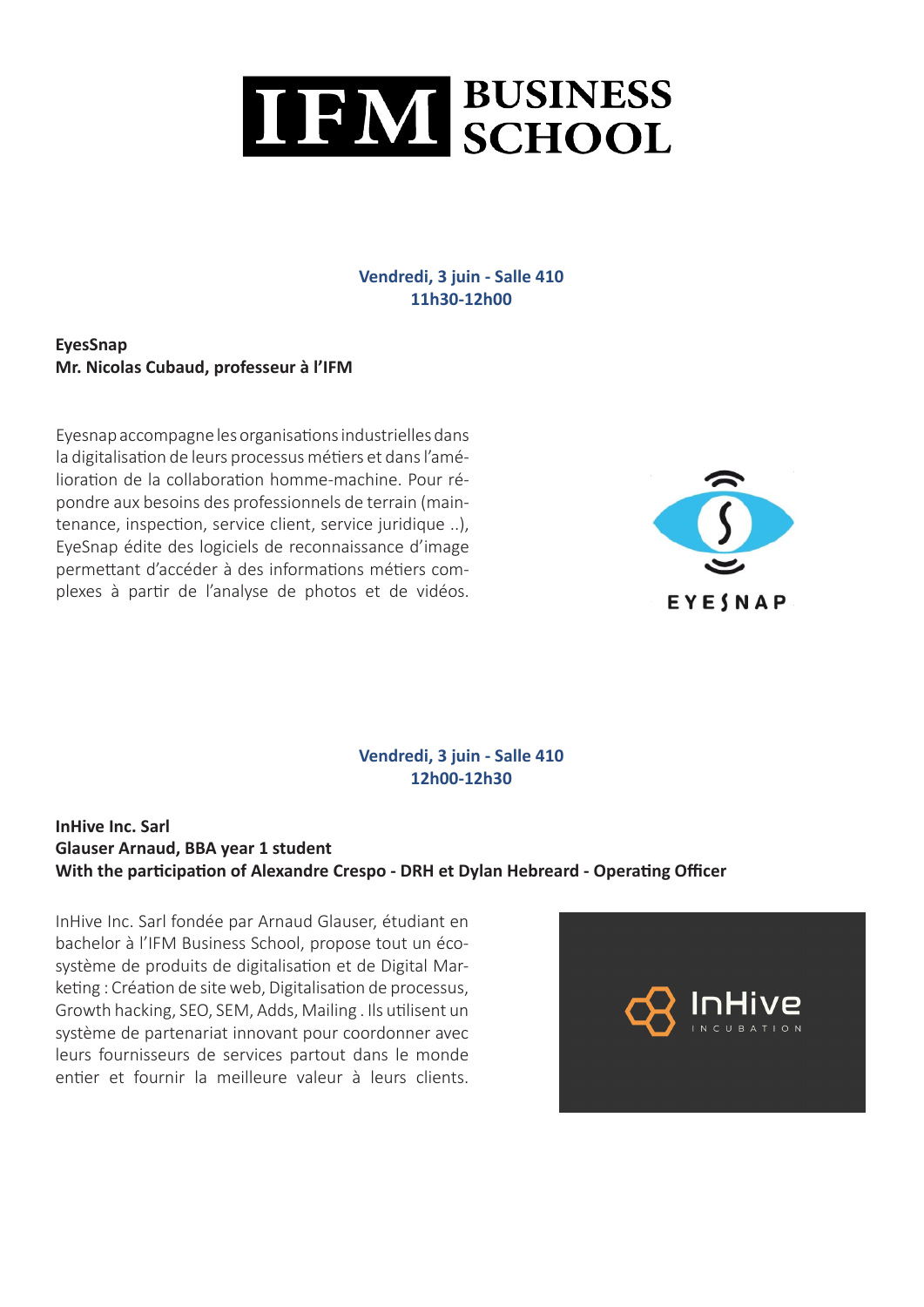

#### **Vendredi, 3 juin - Salle 410 11h30-12h00**

**EyesSnap Mr. Nicolas Cubaud, professeur à l'IFM** 

Eyesnap accompagne les organisations industrielles dans la digitalisation de leurs processus métiers et dans l'amélioration de la collaboration homme-machine. Pour répondre aux besoins des professionnels de terrain (maintenance, inspection, service client, service juridique ..), EyeSnap édite des logiciels de reconnaissance d'image permettant d'accéder à des informations métiers complexes à partir de l'analyse de photos et de vidéos.



#### **Vendredi, 3 juin - Salle 410 12h00-12h30**

#### **InHive Inc. Sarl Glauser Arnaud, BBA year 1 student With the participation of Alexandre Crespo - DRH et Dylan Hebreard - Operating Officer**

InHive Inc. Sarl fondée par Arnaud Glauser, étudiant en bachelor à l'IFM Business School, propose tout un écosystème de produits de digitalisation et de Digital Marketing : Création de site web, Digitalisation de processus, Growth hacking, SEO, SEM, Adds, Mailing . Ils utilisent un système de partenariat innovant pour coordonner avec leurs fournisseurs de services partout dans le monde entier et fournir la meilleure valeur à leurs clients.

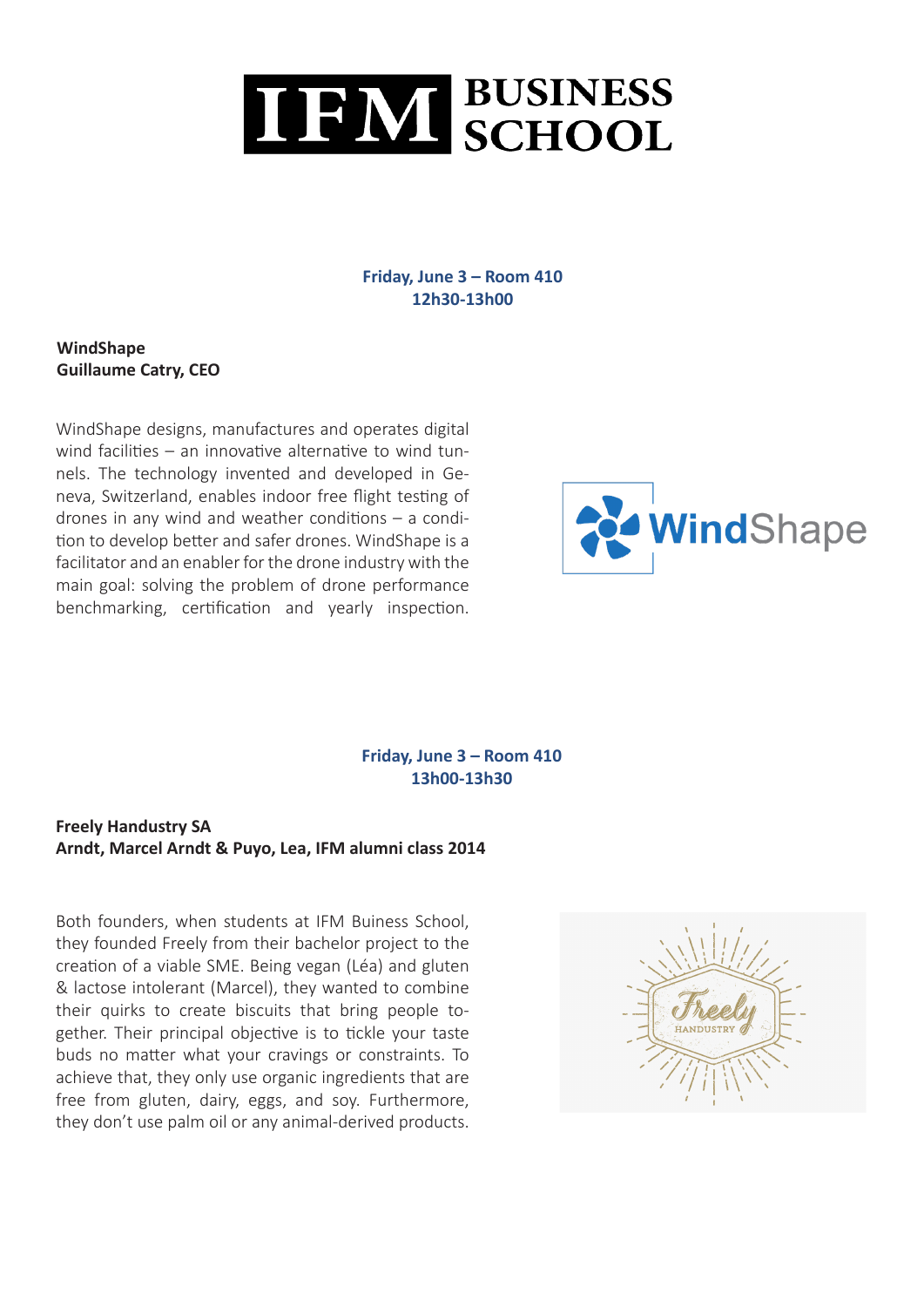

#### **Friday, June 3 – Room 410 12h30-13h00**

**WindShape Guillaume Catry, CEO**

WindShape designs, manufactures and operates digital wind facilities – an innovative alternative to wind tunnels. The technology invented and developed in Geneva, Switzerland, enables indoor free flight testing of drones in any wind and weather conditions  $-$  a condition to develop better and safer drones. WindShape is a facilitator and an enabler for the drone industry with the main goal: solving the problem of drone performance benchmarking, certification and yearly inspection.



#### **Friday, June 3 – Room 410 13h00-13h30**

#### **Freely Handustry SA Arndt, Marcel Arndt & Puyo, Lea, IFM alumni class 2014**

Both founders, when students at IFM Buiness School, they founded Freely from their bachelor project to the creation of a viable SME. Being vegan (Léa) and gluten & lactose intolerant (Marcel), they wanted to combine their quirks to create biscuits that bring people together. Their principal objective is to tickle your taste buds no matter what your cravings or constraints. To achieve that, they only use organic ingredients that are free from gluten, dairy, eggs, and soy. Furthermore, they don't use palm oil or any animal-derived products.